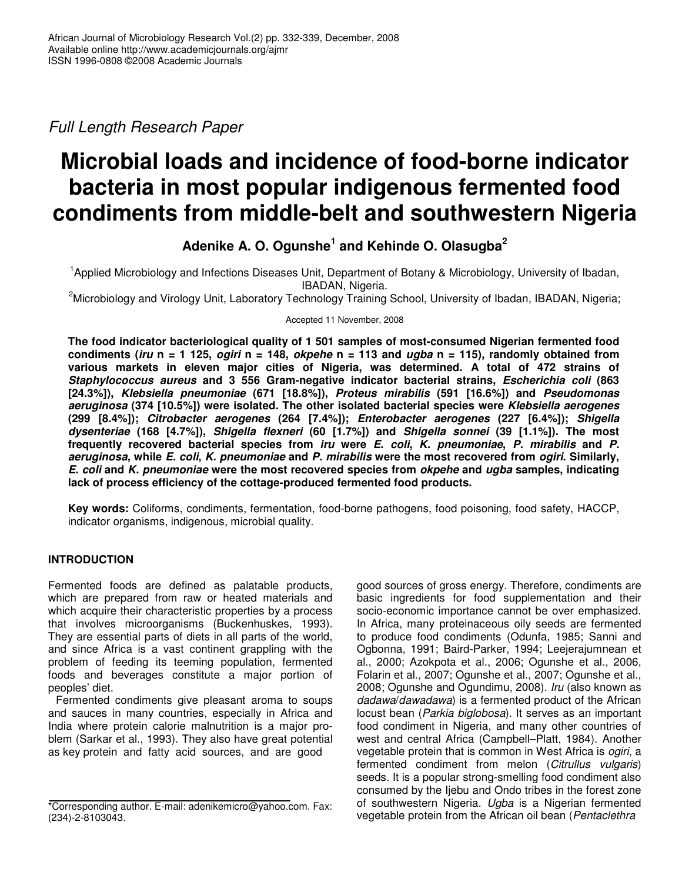*Full Length Research Paper*

# **Microbial loads and incidence of food-borne indicator bacteria in most popular indigenous fermented food condiments from middle-belt and southwestern Nigeria**

# **Adenike A. O. Ogunshe 1 and Kehinde O. Olasugba 2**

<sup>1</sup>Applied Microbiology and Infections Diseases Unit, Department of Botany & Microbiology, University of Ibadan, IBADAN, Nigeria.

<sup>2</sup>Microbiology and Virology Unit, Laboratory Technology Training School, University of Ibadan, IBADAN, Nigeria;

Accepted 11 November, 2008

**The food indicator bacteriological quality of 1 501 samples of most-consumed Nigerian fermented food** condiments (iru  $n = 1$  125, *ogiri*  $n = 148$ , *okpehe*  $n = 113$  and *ugba*  $n = 115$ ), randomly obtained from **various markets in eleven major cities of Nigeria, was determined. A total of 472 strains of** *Staphylococcus aureus* **and 3 556 Gram-negative indicator bacterial strains,** *Escherichia coli* **(863 [24.3%]),** *Klebsiella pneumoniae* **(671 [18.8%]),** *Proteus mirabilis* **(591 [16.6%]) and** *Pseudomonas aeruginosa* **(374 [10.5%]) were isolated***.* **The other isolated bacterial species were** *Klebsiella aerogenes* **(299 [8.4%]);** *Citrobacter aerogenes* **(264 [7.4%]);** *Enterobacter aerogenes* **(227 [6.4%]);** *Shigella dysenteriae* **(168 [4.7%]),** *Shigella flexneri* **(60 [1.7%]) and** *Shigella sonnei* **(39 [1.1%]). The most frequently recovered bacterial species from** *iru* **were** *E***.** *coli***,** *K. pneumoniae***,** *P. mirabilis* **and** *P.* aeruginosa, while E. coli, K. pneumoniae and P. mirabilis were the most recovered from ogiri. Similarly, *E***.** *coli* **and** *K. pneumoniae* **were the most recovered species from** *okpehe* **and** *ugba* **samples, indicating lack of process efficiency of the cottage-produced fermented food products.**

**Key words:** Coliforms, condiments, fermentation, food-borne pathogens, food poisoning, food safety, HACCP, indicator organisms, indigenous, microbial quality.

# **INTRODUCTION**

Fermented foods are defined as palatable products, which are prepared from raw or heated materials and which acquire their characteristic properties by a process that involves microorganisms (Buckenhuskes, 1993). They are essential parts of diets in all parts of the world, and since Africa is a vast continent grappling with the problem of feeding its teeming population, fermented foods and beverages constitute a major portion of peoples' diet.

Fermented condiments give pleasant aroma to soups and sauces in many countries, especially in Africa and India where protein calorie malnutrition is a major problem (Sarkar et al., 1993). They also have great potential as key protein and fatty acid sources, and are good

good sources of gross energy. Therefore, condiments are basic ingredients for food supplementation and their socio-economic importance cannot be over emphasized. In Africa, many proteinaceous oily seeds are fermented to produce food condiments (Odunfa, 1985; Sanni and Ogbonna, 1991; Baird-Parker, 1994; Leejerajumnean et al., 2000; Azokpota et al., 2006; Ogunshe et al., 2006, Folarin et al., 2007; Ogunshe et al., 2007; Ogunshe et al., 2008; Ogunshe and Ogundimu, 2008). *Iru* (also known as *dadawa*/*dawadawa*) is a fermented product of the African locust bean (*Parkia biglobosa*). It serves as an important food condiment in Nigeria, and many other countries of west and central Africa (Campbell–Platt, 1984). Another vegetable protein that is common in West Africa is *ogiri*, a fermented condiment from melon (*Citrullus vulgaris*) seeds. It is a popular strong-smelling food condiment also consumed by the Ijebu and Ondo tribes in the forest zone of southwestern Nigeria. *Ugba* is a Nigerian fermented vegetable protein from the African oil bean (*Pentaclethra*

<sup>\*</sup>Corresponding author. E-mail: adenikemicro@yahoo.com. Fax: (234)-2-8103043.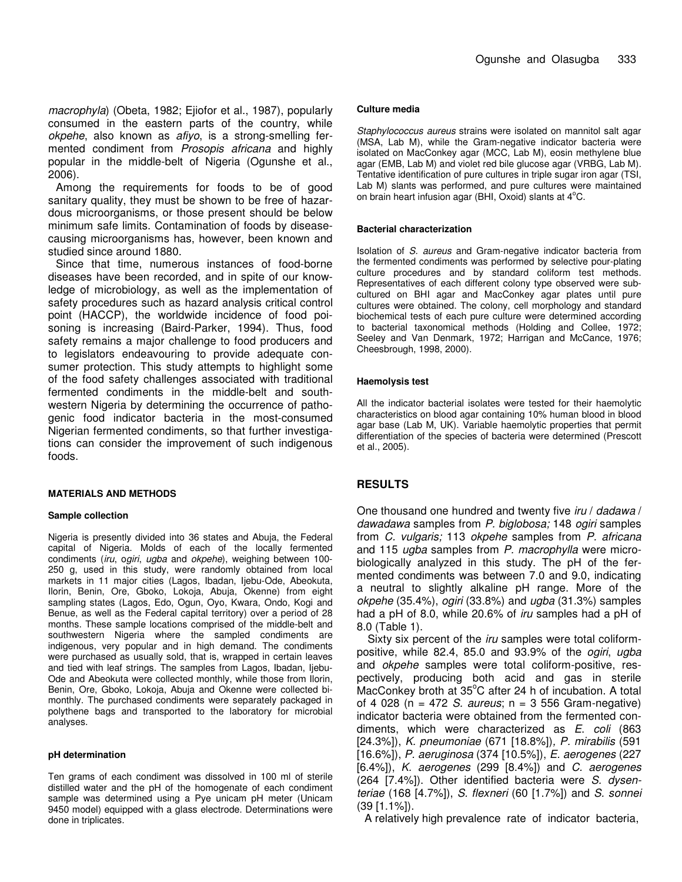*macrophyla*) (Obeta, 1982; Ejiofor et al., 1987), popularly consumed in the eastern parts of the country, while *okpehe*, also known as *afiyo*, is a strong-smelling fermented condiment from *Prosopis africana* and highly popular in the middle-belt of Nigeria (Ogunshe et al., 2006).

Among the requirements for foods to be of good sanitary quality, they must be shown to be free of hazardous microorganisms, or those present should be below minimum safe limits. Contamination of foods by diseasecausing microorganisms has, however, been known and studied since around 1880.

Since that time, numerous instances of food-borne diseases have been recorded, and in spite of our knowledge of microbiology, as well as the implementation of safety procedures such as hazard analysis critical control point (HACCP), the worldwide incidence of food poisoning is increasing (Baird-Parker, 1994). Thus, food safety remains a major challenge to food producers and to legislators endeavouring to provide adequate consumer protection. This study attempts to highlight some of the food safety challenges associated with traditional fermented condiments in the middle-belt and southwestern Nigeria by determining the occurrence of pathogenic food indicator bacteria in the most-consumed Nigerian fermented condiments, so that further investigations can consider the improvement of such indigenous foods.

#### **MATERIALS AND METHODS**

#### **Sample collection**

Nigeria is presently divided into 36 states and Abuja, the Federal capital of Nigeria. Molds of each of the locally fermented condiments (*iru*, o*giri*, *ugba* and *okpehe*), weighing between 100- 250 g, used in this study, were randomly obtained from local markets in 11 major cities (Lagos, Ibadan, Ijebu-Ode, Abeokuta, Ilorin, Benin, Ore, Gboko, Lokoja, Abuja, Okenne) from eight sampling states (Lagos, Edo, Ogun, Oyo, Kwara, Ondo, Kogi and Benue, as well as the Federal capital territory) over a period of 28 months. These sample locations comprised of the middle-belt and southwestern Nigeria where the sampled condiments are indigenous, very popular and in high demand. The condiments were purchased as usually sold, that is, wrapped in certain leaves and tied with leaf strings. The samples from Lagos, Ibadan, Ijebu-Ode and Abeokuta were collected monthly, while those from Ilorin, Benin, Ore, Gboko, Lokoja, Abuja and Okenne were collected bimonthly. The purchased condiments were separately packaged in polythene bags and transported to the laboratory for microbial analyses.

#### **pH determination**

Ten grams of each condiment was dissolved in 100 ml of sterile distilled water and the pH of the homogenate of each condiment sample was determined using a Pye unicam pH meter (Unicam 9450 model) equipped with a glass electrode. Determinations were done in triplicates.

#### **Culture media**

*Staphylococcus aureus* strains were isolated on mannitol salt agar (MSA, Lab M), while the Gram-negative indicator bacteria were isolated on MacConkey agar (MCC, Lab M), eosin methylene blue agar (EMB, Lab M) and violet red bile glucose agar (VRBG, Lab M). Tentative identification of pure cultures in triple sugar iron agar (TSI, Lab M) slants was performed, and pure cultures were maintained on brain heart infusion agar (BHI, Oxoid) slants at 4°C.

#### **Bacterial characterization**

Isolation of *S. aureus* and Gram-negative indicator bacteria from the fermented condiments was performed by selective pour-plating culture procedures and by standard coliform test methods. Representatives of each different colony type observed were subcultured on BHI agar and MacConkey agar plates until pure cultures were obtained. The colony, cell morphology and standard biochemical tests of each pure culture were determined according to bacterial taxonomical methods (Holding and Collee, 1972; Seeley and Van Denmark, 1972; Harrigan and McCance, 1976; Cheesbrough, 1998, 2000).

#### **Haemolysis test**

All the indicator bacterial isolates were tested for their haemolytic characteristics on blood agar containing 10% human blood in blood agar base (Lab M, UK). Variable haemolytic properties that permit differentiation of the species of bacteria were determined (Prescott et al., 2005).

## **RESULTS**

One thousand one hundred and twenty five *iru* / *dadawa* / *dawadawa* samples from *P. biglobosa;* 148 *ogiri* samples from *C. vulgaris;* 113 *okpehe* samples from *P. africana* and 115 *ugba* samples from *P. macrophylla* were microbiologically analyzed in this study. The pH of the fermented condiments was between 7.0 and 9.0, indicating a neutral to slightly alkaline pH range. More of the *okpehe* (35.4%), *ogiri* (33.8%) and *ugba* (31.3%) samples had a pH of 8.0, while 20.6% of *iru* samples had a pH of 8.0 (Table 1).

Sixty six percent of the *iru* samples were total coliformpositive, while 82.4, 85.0 and 93.9% of the *ogiri*, *ugba* and *okpehe* samples were total coliform-positive, respectively, producing both acid and gas in sterile MacConkey broth at 35°C after 24 h of incubation. A total of 4 028 (n = 472 *S. aureus*; n = 3 556 Gram-negative) indicator bacteria were obtained from the fermented condiments, which were characterized as *E*. *coli* (863 [24.3%]), *K. pneumoniae* (671 [18.8%])*, P. mirabilis* (591 [16.6%]), *P. aeruginosa* (374 [10.5%]), *E. aerogenes* (227 [6.4%]), *K. aerogenes* (299 [8.4%]) and *C. aerogenes* (264 [7.4%]). Other identified bacteria were *S. dysenteriae* (168 [4.7%]), *S. flexneri* (60 [1.7%]) and *S. sonnei* (39 [1.1%]).

A relatively high prevalence rate of indicator bacteria,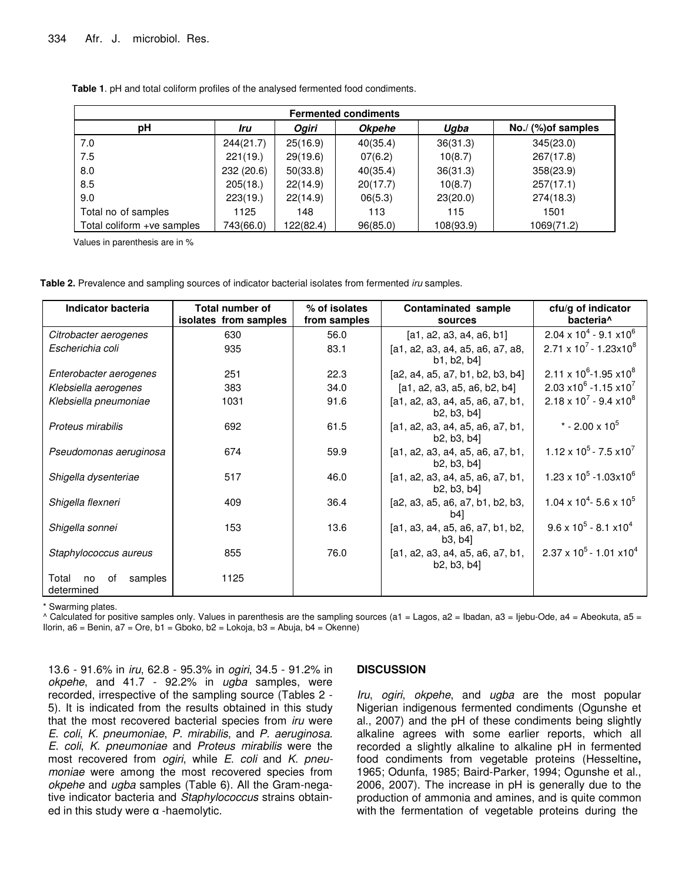| <b>Fermented condiments</b> |           |              |               |           |                     |  |
|-----------------------------|-----------|--------------|---------------|-----------|---------------------|--|
| рH                          | Iru       | <b>Ogiri</b> | <b>Okpehe</b> | Ugba      | No./ (%) of samples |  |
| 7.0                         | 244(21.7) | 25(16.9)     | 40(35.4)      | 36(31.3)  | 345(23.0)           |  |
| 7.5                         | 221(19.)  | 29(19.6)     | 07(6.2)       | 10(8.7)   | 267(17.8)           |  |
| 8.0                         | 232(20.6) | 50(33.8)     | 40(35.4)      | 36(31.3)  | 358(23.9)           |  |
| 8.5                         | 205(18.)  | 22(14.9)     | 20(17.7)      | 10(8.7)   | 257(17.1)           |  |
| 9.0                         | 223(19.)  | 22(14.9)     | 06(5.3)       | 23(20.0)  | 274(18.3)           |  |
| Total no of samples         | 1125      | 148          | 113           | 115       | 1501                |  |
| Total coliform +ve samples  | 743(66.0) | 122(82.4)    | 96(85.0)      | 108(93.9) | 1069(71.2)          |  |

**Table 1**. pH and total coliform profiles of the analysed fermented food condiments.

Values in parenthesis are in %

**Table 2.** Prevalence and sampling sources of indicator bacterial isolates from fermented *iru* samples.

| Indicator bacteria                         | Total number of<br>isolates from samples | % of isolates<br>from samples | Contaminated sample<br>sources                  | cfu/g of indicator<br>bacteria <sup>^</sup>  |
|--------------------------------------------|------------------------------------------|-------------------------------|-------------------------------------------------|----------------------------------------------|
| Citrobacter aerogenes                      | 630                                      | 56.0                          | [a1, a2, a3, a4, a6, b1]                        | $2.04 \times 10^{4} - 9.1 \times 10^{6}$     |
| Escherichia coli                           | 935                                      | 83.1                          | [a1, a2, a3, a4, a5, a6, a7, a8,<br>b1, b2, b4] | $2.71 \times 10^{7} - 1.23 \times 10^{8}$    |
| Enterobacter aerogenes                     | 251                                      | 22.3                          | [a2, a4, a5, a7, b1, b2, b3, b4]                | $2.11 \times 10^{6}$ -1.95 x10 <sup>8</sup>  |
| Klebsiella aerogenes                       | 383                                      | 34.0                          | [a1, a2, a3, a5, a6, b2, b4]                    | 2.03 $x10^6 - 1.15 x10^7$                    |
| Klebsiella pneumoniae                      | 1031                                     | 91.6                          | [a1, a2, a3, a4, a5, a6, a7, b1,<br>b2, b3, b4] | $2.18 \times 10^{7}$ - 9.4 x10 <sup>8</sup>  |
| Proteus mirabilis                          | 692                                      | 61.5                          | [a1, a2, a3, a4, a5, a6, a7, b1,<br>b2, b3, b4  | * - 2.00 x $10^5$                            |
| Pseudomonas aeruginosa                     | 674                                      | 59.9                          | [a1, a2, a3, a4, a5, a6, a7, b1,<br>b2, b3, b4] | $1.12 \times 10^5 - 7.5 \times 10^7$         |
| Shigella dysenteriae                       | 517                                      | 46.0                          | [a1, a2, a3, a4, a5, a6, a7, b1,<br>b2, b3, b4  | $1.23 \times 10^5 - 1.03 \times 10^6$        |
| Shigella flexneri                          | 409                                      | 36.4                          | [a2, a3, a5, a6, a7, b1, b2, b3,<br>b4          | $1.04 \times 10^{4}$ - 5.6 x 10 <sup>5</sup> |
| Shigella sonnei                            | 153                                      | 13.6                          | [a1, a3, a4, a5, a6, a7, b1, b2,<br>b3, b4]     | $9.6 \times 10^5 - 8.1 \times 10^4$          |
| Staphylococcus aureus                      | 855                                      | 76.0                          | [a1, a2, a3, a4, a5, a6, a7, b1,<br>b2, b3, b4  | $2.37 \times 10^5 - 1.01 \times 10^4$        |
| Total<br>samples<br>no<br>0f<br>determined | 1125                                     |                               |                                                 |                                              |

\* Swarming plates.

^ Calculated for positive samples only. Values in parenthesis are the sampling sources (a1 = Lagos, a2 = Ibadan, a3 = Ijebu-Ode, a4 = Abeokuta, a5 = Ilorin, a6 = Benin, a7 = Ore, b1 = Gboko, b2 = Lokoja, b3 = Abuja, b4 = Okenne)

13.6 - 91.6% in *iru*, 62.8 - 95.3% in *ogiri*, 34.5 - 91.2% in *okpehe*, and 41.7 - 92.2% in *ugba* samples, were recorded, irrespective of the sampling source (Tables 2 - 5). It is indicated from the results obtained in this study that the most recovered bacterial species from *iru* were *E*. *coli*, *K. pneumoniae*, *P. mirabilis*, and *P. aeruginosa*. *E. coli*, *K. pneumoniae* and *Proteus mirabilis* were the most recovered from *ogiri*, while *E*. *coli* and *K. pneumoniae* were among the most recovered species from *okpehe* and *ugba* samples (Table 6). All the Gram-negative indicator bacteria and *Staphylococcus* strains obtained in this study were  $\alpha$  -haemolytic.

## **DISCUSSION**

*Iru*, *ogiri*, *okpehe*, and *ugba* are the most popular Nigerian indigenous fermented condiments (Ogunshe et al., 2007) and the pH of these condiments being slightly alkaline agrees with some earlier reports, which all recorded a slightly alkaline to alkaline pH in fermented food condiments from vegetable proteins (Hesseltine**,** 1965; Odunfa, 1985; Baird-Parker, 1994; Ogunshe et al., 2006, 2007). The increase in pH is generally due to the production of ammonia and amines, and is quite common with the fermentation of vegetable proteins during the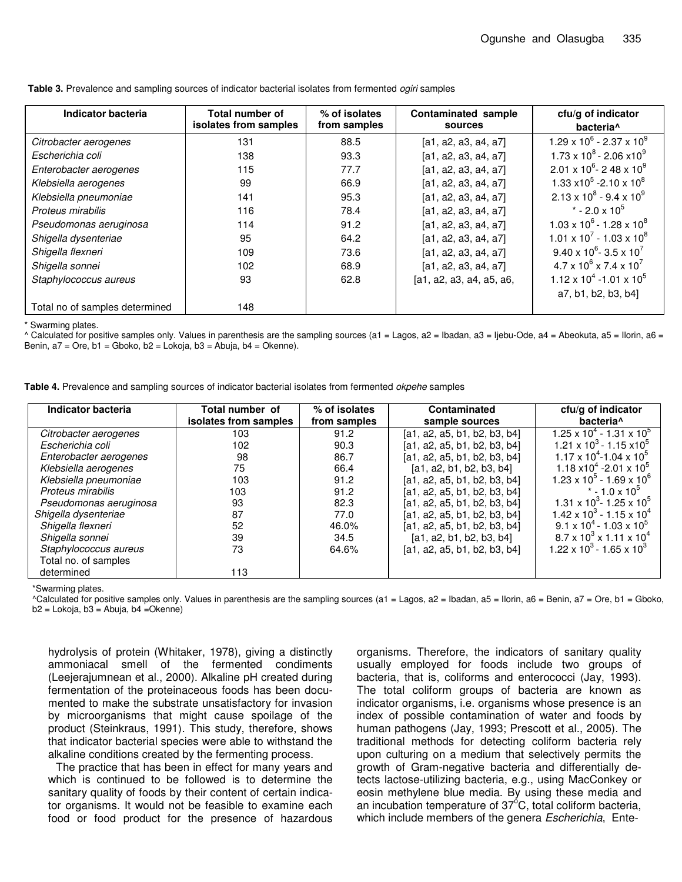| Indicator bacteria             | Total number of<br>isolates from samples | % of isolates<br>from samples | Contaminated sample<br>sources | cfu/g of indicator<br>bacteria <sup>^</sup>                  |
|--------------------------------|------------------------------------------|-------------------------------|--------------------------------|--------------------------------------------------------------|
| Citrobacter aerogenes          | 131                                      | 88.5                          | [a1, a2, a3, a4, a7]           | $1.29 \times 10^6$ - 2.37 x 10 <sup>9</sup>                  |
| Escherichia coli               | 138                                      | 93.3                          | [a1, a2, a3, a4, a7]           | $1.73 \times 10^8 - 2.06 \times 10^9$                        |
| Enterobacter aerogenes         | 115                                      | 77.7                          | [a1, a2, a3, a4, a7]           | $2.01 \times 10^6$ - 2 48 x 10 <sup>9</sup>                  |
| Klebsiella aerogenes           | 99                                       | 66.9                          | [a1, a2, a3, a4, a7]           | 1.33 $\times$ 10 <sup>5</sup> -2.10 $\times$ 10 <sup>8</sup> |
| Klebsiella pneumoniae          | 141                                      | 95.3                          | [a1, a2, a3, a4, a7]           | $2.13 \times 10^8 - 9.4 \times 10^9$                         |
| Proteus mirabilis              | 116                                      | 78.4                          | [a1, a2, a3, a4, a7]           | $*$ - 2.0 x 10 <sup>5</sup>                                  |
| Pseudomonas aeruginosa         | 114                                      | 91.2                          | [a1, a2, a3, a4, a7]           | $1.03 \times 10^6$ - 1.28 x 10 <sup>8</sup>                  |
| Shigella dysenteriae           | 95                                       | 64.2                          | [a1, a2, a3, a4, a7]           | $1.01 \times 10^{7}$ - 1.03 x 10 <sup>8</sup>                |
| Shigella flexneri              | 109                                      | 73.6                          | [a1, a2, a3, a4, a7]           | $9.40 \times 10^6$ - 3.5 x 10 <sup>7</sup>                   |
| Shigella sonnei                | 102                                      | 68.9                          | [a1, a2, a3, a4, a7]           | $4.7 \times 10^6 \times 7.4 \times 10^7$                     |
| Staphylococcus aureus          | 93                                       | 62.8                          | [a1, a2, a3, a4, a5, a6,       | $1.12 \times 10^4 - 1.01 \times 10^5$                        |
|                                |                                          |                               |                                | a7, b1, b2, b3, b4]                                          |
| Total no of samples determined | 148                                      |                               |                                |                                                              |

**Table 3.** Prevalence and sampling sources of indicator bacterial isolates from fermented *ogiri* samples

\* Swarming plates.

 $^{\circ}$  Calculated for positive samples only. Values in parenthesis are the sampling sources (a1 = Lagos, a2 = Ibadan, a3 = Ijebu-Ode, a4 = Abeokuta, a5 = Ilorin, a6 = Benin, a7 = Ore, b1 = Gboko, b2 = Lokoja, b3 = Abuja, b4 = Okenne).

**Table 4.** Prevalence and sampling sources of indicator bacterial isolates from fermented *okpehe* samples

| Indicator bacteria     | Total number of<br>isolates from samples | % of isolates<br>from samples | Contaminated<br>sample sources | cfu/g of indicator<br>bacteria <sup>^</sup>   |
|------------------------|------------------------------------------|-------------------------------|--------------------------------|-----------------------------------------------|
| Citrobacter aerogenes  | 103                                      | 91.2                          | [a1, a2, a5, b1, b2, b3, b4]   | $1.25 \times 10^{4} - 1.31 \times 10^{5}$     |
| Escherichia coli       | 102                                      | 90.3                          | [a1, a2, a5, b1, b2, b3, b4]   | $1.21 \times 10^3 - 1.15 \times 10^5$         |
| Enterobacter aerogenes | 98                                       | 86.7                          | [a1, a2, a5, b1, b2, b3, b4]   | $1.17 \times 10^{4}$ -1.04 x 10 <sup>5</sup>  |
| Klebsiella aerogenes   | 75                                       | 66.4                          | [a1, a2, b1, b2, b3, b4]       | $1.18 \times 10^{4}$ -2.01 x 10 <sup>5</sup>  |
| Klebsiella pneumoniae  | 103                                      | 91.2                          | [a1, a2, a5, b1, b2, b3, b4]   | $1.23 \times 10^{5} - 1.69 \times 10^{6}$     |
| Proteus mirabilis      | 103                                      | 91.2                          | [a1, a2, a5, b1, b2, b3, b4]   | $*$ - 1.0 x 10 <sup>o</sup>                   |
| Pseudomonas aeruginosa | 93                                       | 82.3                          | [a1, a2, a5, b1, b2, b3, b4]   | $1.31 \times 10^{3}$ - 1.25 x 10 <sup>5</sup> |
| Shigella dysenteriae   | 87                                       | 77.0                          | [a1, a2, a5, b1, b2, b3, b4]   | $1.42 \times 10^{3} - 1.15 \times 10^{4}$     |
| Shigella flexneri      | 52                                       | 46.0%                         | [a1, a2, a5, b1, b2, b3, b4]   | $9.1 \times 10^{4}$ - 1.03 x 10 <sup>5</sup>  |
| Shigella sonnei        | 39                                       | 34.5                          | [a1, a2, b1, b2, b3, b4]       | $8.7 \times 10^3 \times 1.11 \times 10^4$     |
| Staphylococcus aureus  | 73                                       | 64.6%                         | [a1, a2, a5, b1, b2, b3, b4]   | $1.22 \times 10^3 - 1.65 \times 10^3$         |
| Total no. of samples   |                                          |                               |                                |                                               |
| determined             | 113                                      |                               |                                |                                               |

\*Swarming plates.

^Calculated for positive samples only. Values in parenthesis are the sampling sources (a1 = Lagos, a2 = Ibadan, a5 = Ilorin, a6 = Benin, a7 = Ore, b1 = Gboko,  $b2 =$  Lokoja,  $b3 =$ Abuja,  $b4 =$ Okenne)

hydrolysis of protein (Whitaker, 1978), giving a distinctly ammoniacal smell of the fermented condiments (Leejerajumnean et al., 2000). Alkaline pH created during fermentation of the proteinaceous foods has been documented to make the substrate unsatisfactory for invasion by microorganisms that might cause spoilage of the product (Steinkraus, 1991). This study, therefore, shows that indicator bacterial species were able to withstand the alkaline conditions created by the fermenting process.

The practice that has been in effect for many years and which is continued to be followed is to determine the sanitary quality of foods by their content of certain indicator organisms. It would not be feasible to examine each food or food product for the presence of hazardous

organisms. Therefore, the indicators of sanitary quality usually employed for foods include two groups of bacteria, that is, coliforms and enterococci (Jay, 1993). The total coliform groups of bacteria are known as indicator organisms, i.e. organisms whose presence is an index of possible contamination of water and foods by human pathogens (Jay, 1993; Prescott et al., 2005). The traditional methods for detecting coliform bacteria rely upon culturing on a medium that selectively permits the growth of Gram-negative bacteria and differentially detects lactose-utilizing bacteria, e.g., using MacConkey or eosin methylene blue media. By using these media and an incubation temperature of 37 $\rm ^{6}C$ , total coliform bacteria, which include members of the genera *Escherichia*, Ente-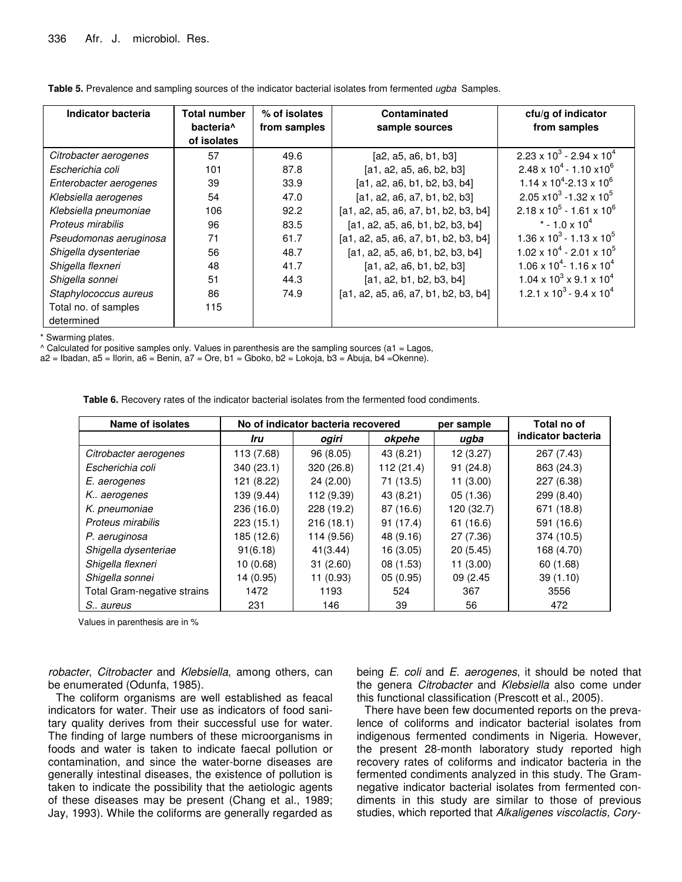| <b>Indicator bacteria</b> | <b>Total number</b><br>bacteria <sup>^</sup><br>of isolates | % of isolates<br>from samples | Contaminated<br>sample sources       | cfu/g of indicator<br>from samples            |
|---------------------------|-------------------------------------------------------------|-------------------------------|--------------------------------------|-----------------------------------------------|
| Citrobacter aerogenes     | 57                                                          | 49.6                          | [a2, a5, a6, b1, b3]                 | $2.23 \times 10^3 - 2.94 \times 10^4$         |
| Escherichia coli          | 101                                                         | 87.8                          | [a1, a2, a5, a6, b2, b3]             | $2.48 \times 10^{4} - 1.10 \times 10^{6}$     |
| Enterobacter aerogenes    | 39                                                          | 33.9                          | [a1, a2, a6, b1, b2, b3, b4]         | $1.14 \times 10^4$ -2.13 x 10 <sup>6</sup>    |
| Klebsiella aerogenes      | 54                                                          | 47.0                          | [a1, a2, a6, a7, b1, b2, b3]         | $2.05 \times 10^3 - 1.32 \times 10^5$         |
| Klebsiella pneumoniae     | 106                                                         | 92.2                          | [a1, a2, a5, a6, a7, b1, b2, b3, b4] | $2.18 \times 10^5 - 1.61 \times 10^6$         |
| Proteus mirabilis         | 96                                                          | 83.5                          | [a1, a2, a5, a6, b1, b2, b3, b4]     | * - 1.0 x 10 <sup>4</sup>                     |
| Pseudomonas aeruginosa    | 71                                                          | 61.7                          | [a1, a2, a5, a6, a7, b1, b2, b3, b4] | $1.36 \times 10^3 - 1.13 \times 10^5$         |
| Shigella dysenteriae      | 56                                                          | 48.7                          | [a1, a2, a5, a6, b1, b2, b3, b4]     | $1.02 \times 10^4 - 2.01 \times 10^5$         |
| Shigella flexneri         | 48                                                          | 41.7                          | [a1, a2, a6, b1, b2, b3]             | $1.06 \times 10^{4}$ - 1.16 x 10 <sup>4</sup> |
| Shigella sonnei           | 51                                                          | 44.3                          | [a1, a2, b1, b2, b3, b4]             | $1.04 \times 10^3 \times 9.1 \times 10^4$     |
| Staphylococcus aureus     | 86                                                          | 74.9                          | [a1, a2, a5, a6, a7, b1, b2, b3, b4] | $1.2.1 \times 10^3 - 9.4 \times 10^4$         |
| Total no. of samples      | 115                                                         |                               |                                      |                                               |
| determined                |                                                             |                               |                                      |                                               |

**Table 5.** Prevalence and sampling sources of the indicator bacterial isolates from fermented *ugba* Samples.

\* Swarming plates.

 $^{\circ}$  Calculated for positive samples only. Values in parenthesis are the sampling sources (a1 = Lagos,

 $a2$  = Ibadan,  $a5$  = Ilorin,  $a6$  = Benin,  $a7$  = Ore,  $b1$  = Gboko,  $b2$  = Lokoja,  $b3$  = Abuja,  $b4$  = Okenne).

**Table 6.** Recovery rates of the indicator bacterial isolates from the fermented food condiments.

| <b>Name of isolates</b>     |            | No of indicator bacteria recovered | per sample | Total no of |                    |
|-----------------------------|------------|------------------------------------|------------|-------------|--------------------|
|                             | Iru        | ogiri                              | okpehe     | ugba        | indicator bacteria |
| Citrobacter aerogenes       | 113 (7.68) | 96(8.05)                           | 43 (8.21)  | 12(3.27)    | 267 (7.43)         |
| Escherichia coli            | 340 (23.1) | 320(26.8)                          | 112 (21.4) | 91(24.8)    | 863 (24.3)         |
| E. aerogenes                | 121 (8.22) | 24(2.00)                           | 71 (13.5)  | 11(3.00)    | 227 (6.38)         |
| K. aerogenes                | 139 (9.44) | 112 (9.39)                         | 43 (8.21)  | 05(1.36)    | 299 (8.40)         |
| K. pneumoniae               | 236 (16.0) | 228 (19.2)                         | 87 (16.6)  | 120 (32.7)  | 671 (18.8)         |
| Proteus mirabilis           | 223(15.1)  | 216(18.1)                          | 91(17.4)   | 61 (16.6)   | 591 (16.6)         |
| P. aeruginosa               | 185 (12.6) | 114 (9.56)                         | 48 (9.16)  | 27 (7.36)   | 374 (10.5)         |
| Shigella dysenteriae        | 91(6.18)   | 41(3.44)                           | 16(3.05)   | 20(5.45)    | 168 (4.70)         |
| Shigella flexneri           | 10(0.68)   | 31(2.60)                           | 08(1.53)   | 11(3.00)    | 60 (1.68)          |
| Shigella sonnei             | 14 (0.95)  | 11 (0.93)                          | 05(0.95)   | 09 (2.45)   | 39(1.10)           |
| Total Gram-negative strains | 1472       | 1193                               | 524        | 367         | 3556               |
| S. aureus                   | 231        | 146                                | 39         | 56          | 472                |

Values in parenthesis are in %

*robacter*, *Citrobacter* and *Klebsiella*, among others, can be enumerated (Odunfa, 1985).

The coliform organisms are well established as feacal indicators for water. Their use as indicators of food sanitary quality derives from their successful use for water. The finding of large numbers of these microorganisms in foods and water is taken to indicate faecal pollution or contamination, and since the water-borne diseases are generally intestinal diseases, the existence of pollution is taken to indicate the possibility that the aetiologic agents of these diseases may be present (Chang et al., 1989; Jay, 1993). While the coliforms are generally regarded as being *E*. *coli* and *E*. *aerogenes*, it should be noted that the genera *Citrobacter* and *Klebsiella* also come under this functional classification (Prescott et al., 2005).

There have been few documented reports on the prevalence of coliforms and indicator bacterial isolates from indigenous fermented condiments in Nigeria. However, the present 28-month laboratory study reported high recovery rates of coliforms and indicator bacteria in the fermented condiments analyzed in this study. The Gramnegative indicator bacterial isolates from fermented condiments in this study are similar to those of previous studies, which reported that *Alkaligenes viscolactis, Cory-*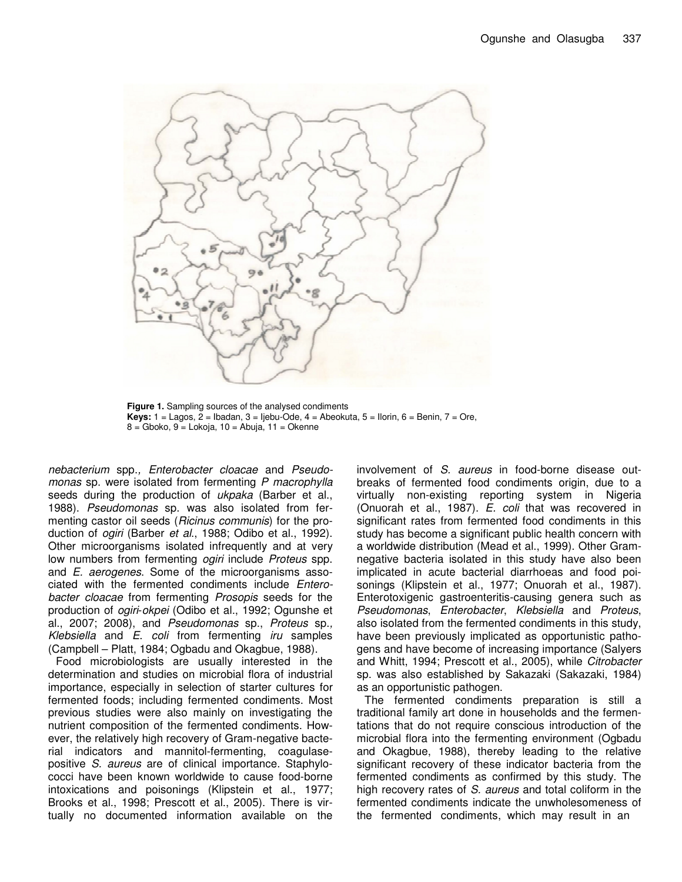

**Figure 1.** Sampling sources of the analysed condiments **Keys:** 1 = Lagos, 2 = Ibadan, 3 = Ijebu-Ode, 4 = Abeokuta, 5 = Ilorin, 6 = Benin, 7 = Ore,  $8 =$  Gboko,  $9 =$  Lokoja,  $10 =$  Abuja,  $11 =$  Okenne

*nebacterium* spp.*, Enterobacter cloacae* and *Pseudomonas* sp. were isolated from fermenting *P macrophylla* seeds during the production of *ukpaka* (Barber et al., 1988). *Pseudomonas* sp. was also isolated from fermenting castor oil seeds (*Ricinus communis*) for the production of *ogiri* (Barber *et al*., 1988; Odibo et al., 1992). Other microorganisms isolated infrequently and at very low numbers from fermenting *ogiri* include *Proteus* spp. and *E. aerogenes*. Some of the microorganisms associated with the fermented condiments include *Enterobacter cloacae* from fermenting *Prosopis* seeds for the production of *ogiri*-*okpei* (Odibo et al., 1992; Ogunshe et al., 2007; 2008), and *Pseudomonas* sp., *Proteus* sp.*, Klebsiella* and *E*. *coli* from fermenting *iru* samples (Campbell – Platt, 1984; Ogbadu and Okagbue, 1988).

Food microbiologists are usually interested in the determination and studies on microbial flora of industrial importance, especially in selection of starter cultures for fermented foods; including fermented condiments. Most previous studies were also mainly on investigating the nutrient composition of the fermented condiments. However, the relatively high recovery of Gram-negative bacterial indicators and mannitol-fermenting, coagulasepositive *S. aureus* are of clinical importance. Staphylococci have been known worldwide to cause food-borne intoxications and poisonings (Klipstein et al., 1977; Brooks et al., 1998; Prescott et al., 2005). There is virtually no documented information available on the

involvement of *S. aureus* in food-borne disease outbreaks of fermented food condiments origin, due to a virtually non-existing reporting system in Nigeria (Onuorah et al., 1987). *E. coli* that was recovered in significant rates from fermented food condiments in this study has become a significant public health concern with a worldwide distribution (Mead et al., 1999). Other Gramnegative bacteria isolated in this study have also been implicated in acute bacterial diarrhoeas and food poisonings (Klipstein et al., 1977; Onuorah et al., 1987). Enterotoxigenic gastroenteritis-causing genera such as *Pseudomonas*, *Enterobacter*, *Klebsiella* and *Proteus*, also isolated from the fermented condiments in this study, have been previously implicated as opportunistic pathogens and have become of increasing importance (Salyers and Whitt, 1994; Prescott et al., 2005), while *Citrobacter* sp. was also established by Sakazaki (Sakazaki, 1984) as an opportunistic pathogen.

The fermented condiments preparation is still a traditional family art done in households and the fermentations that do not require conscious introduction of the microbial flora into the fermenting environment (Ogbadu and Okagbue, 1988), thereby leading to the relative significant recovery of these indicator bacteria from the fermented condiments as confirmed by this study. The high recovery rates of *S. aureus* and total coliform in the fermented condiments indicate the unwholesomeness of the fermented condiments, which may result in an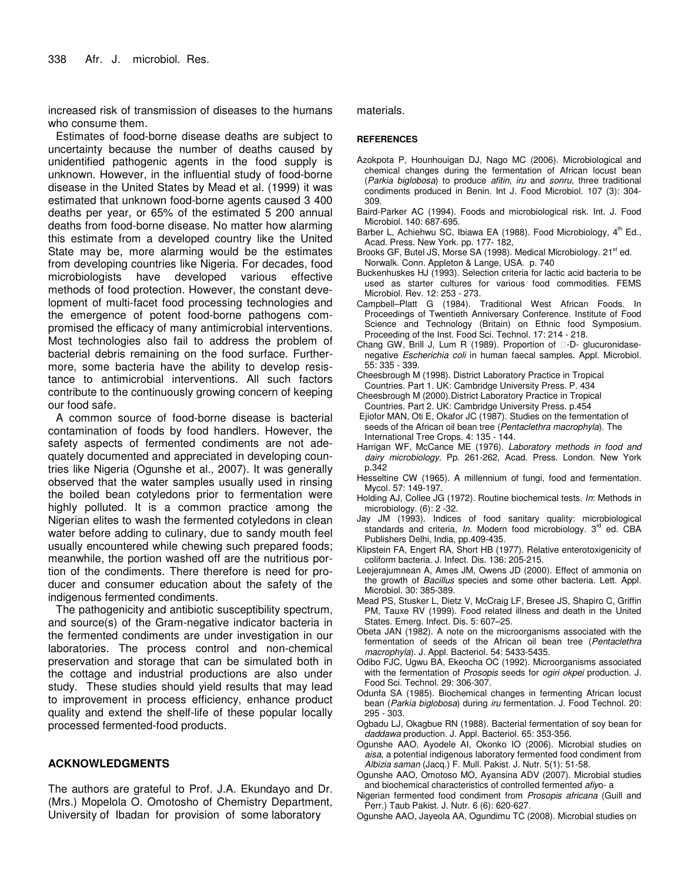increased risk of transmission of diseases to the humans who consume them.

Estimates of food-borne disease deaths are subject to uncertainty because the number of deaths caused by unidentified pathogenic agents in the food supply is unknown. However, in the influential study of food-borne disease in the United States by Mead et al. (1999) it was estimated that unknown food-borne agents caused 3 400 deaths per year, or 65% of the estimated 5 200 annual deaths from food-borne disease. No matter how alarming this estimate from a developed country like the United State may be, more alarming would be the estimates from developing countries like Nigeria. For decades, food microbiologists have developed various effective methods of food protection. However, the constant development of multi-facet food processing technologies and the emergence of potent food-borne pathogens compromised the efficacy of many antimicrobial interventions. Most technologies also fail to address the problem of bacterial debris remaining on the food surface. Furthermore, some bacteria have the ability to develop resistance to antimicrobial interventions. All such factors contribute to the continuously growing concern of keeping our food safe.

A common source of food-borne disease is bacterial contamination of foods by food handlers. However, the safety aspects of fermented condiments are not adequately documented and appreciated in developing countries like Nigeria (Ogunshe et al., 2007). It was generally observed that the water samples usually used in rinsing the boiled bean cotyledons prior to fermentation were highly polluted. It is a common practice among the Nigerian elites to wash the fermented cotyledons in clean water before adding to culinary, due to sandy mouth feel usually encountered while chewing such prepared foods; meanwhile, the portion washed off are the nutritious portion of the condiments. There therefore is need for producer and consumer education about the safety of the indigenous fermented condiments.

The pathogenicity and antibiotic susceptibility spectrum, and source(s) of the Gram-negative indicator bacteria in the fermented condiments are under investigation in our laboratories. The process control and non-chemical preservation and storage that can be simulated both in the cottage and industrial productions are also under study. These studies should yield results that may lead to improvement in process efficiency, enhance product quality and extend the shelf-life of these popular locally processed fermented-food products.

# **ACKNOWLEDGMENTS**

The authors are grateful to Prof. J.A. Ekundayo and Dr. (Mrs.) Mopelola O. Omotosho of Chemistry Department, University of Ibadan for provision of some laboratory

materials.

#### **REFERENCES**

- Azokpota P, Hounhouigan DJ, Nago MC (2006). Microbiological and chemical changes during the fermentation of African locust bean (*Parkia biglobosa*) to produce *afitin*, *iru* and *sonru*, three traditional condiments produced in Benin. Int J. Food Microbiol. 107 (3): 304- 309.
- Baird-Parker AC (1994). Foods and microbiological risk. Int. J. Food Microbiol. 140: 687-695.
- Barber L, Achiehwu SC, Ibiawa EA (1988). Food Microbiology, 4<sup>th</sup> Ed., Acad. Press. New York. pp. 177- 182,
- Brooks GF, Butel JS, Morse SA (1998). Medical Microbiology. 21<sup>st</sup> ed. Norwalk. Conn. Appleton & Lange, USA. p. 740
- Buckenhuskes HJ (1993). Selection criteria for lactic acid bacteria to be used as starter cultures for various food commodities. FEMS Microbiol. Rev. 12: 253 - 273.
- Campbell–Platt G (1984). Traditional West African Foods. In Proceedings of Twentieth Anniversary Conference. Institute of Food Science and Technology (Britain) on Ethnic food Symposium. Proceeding of the Inst. Food Sci. Technol. 17: 214 - 218.
- Chang GW, Brill J, Lum R (1989). Proportion of -D- glucuronidasenegative *Escherichia coli* in human faecal samples. Appl. Microbiol. 55: 335 - 339.
- Cheesbrough M (1998). District Laboratory Practice in Tropical Countries. Part 1. UK: Cambridge University Press. P. 434
- Cheesbrough M (2000).District Laboratory Practice in Tropical Countries. Part 2*.* UK: Cambridge University Press. p.454
- Ejiofor MAN, Oti E, Okafor JC (1987). Studies on the fermentation of seeds of the African oil bean tree (*Pentaclethra macrophyla*). The International Tree Crops. 4: 135 - 144.
- Harrigan WF, McCance ME (1976). *Laboratory methods in food and dairy microbiology*. Pp. 261-262, Acad. Press. London. New York p.342
- Hesseltine CW (1965). A millennium of fungi, food and fermentation. Mycol. 57: 149-197.
- Holding AJ, Collee JG (1972). Routine biochemical tests. *In*: Methods in microbiology. (6): 2 -32.
- Jay JM (1993). Indices of food sanitary quality: microbiological standards and criteria, In. Modern food microbiology. 3<sup>rd</sup> ed. CBA Publishers Delhi, India, pp.409-435.
- Klipstein FA, Engert RA, Short HB (1977). Relative enterotoxigenicity of coliform bacteria. J. Infect. Dis. 136: 205-215.
- Leejerajumnean A, Ames JM, Owens JD (2000). Effect of ammonia on the growth of *Bacillus* species and some other bacteria. Lett. Appl. Microbiol. 30: 385-389.
- Mead PS, Stusker L, Dietz V, McCraig LF, Bresee JS, Shapiro C, Griffin PM, Tauxe RV (1999). Food related illness and death in the United States. Emerg. Infect. Dis. 5: 607–25.
- Obeta JAN (1982). A note on the microorganisms associated with the fermentation of seeds of the African oil bean tree (*Pentaclethra macrophyla*). J. Appl. Bacteriol. 54: 5433-5435.
- Odibo FJC, Ugwu BA, Ekeocha OC (1992). Microorganisms associated with the fermentation of *Prosopis* seeds for *ogiri okpei* production. J. Food Sci. Technol. 29: 306-307.
- Odunfa SA (1985). Biochemical changes in fermenting African locust bean (*Parkia biglobosa*) during *iru* fermentation. J. Food Technol. 20: 295 - 303.
- Ogbadu LJ, Okagbue RN (1988). Bacterial fermentation of soy bean for *daddawa* production. J. Appl. Bacteriol. 65: 353-356.
- Ogunshe AAO, Ayodele AI, Okonko IO (2006). Microbial studies on *aisa*, a potential indigenous laboratory fermented food condiment from *Albizia saman* (Jacq.) F. Mull. Pakist. J. Nutr. 5(1): 51-58.
- Ogunshe AAO, Omotoso MO, Ayansina ADV (2007). Microbial studies and biochemical characteristics of controlled fermented *afiy*o- a
- Nigerian fermented food condiment from *Prosopis africana* (Guill and Perr.) Taub Pakist. J. Nutr. 6 (6): 620-627.
- Ogunshe AAO, Jayeola AA, Ogundimu TC (2008). Microbial studies on